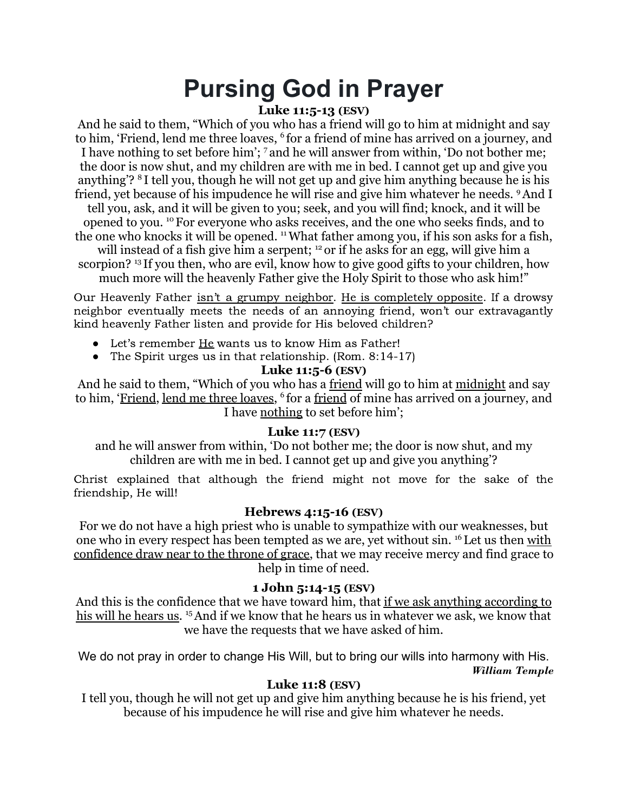# **Pursing God in Prayer**

# **Luke 11:5-13 (ESV)**

And he said to them, "Which of you who has a friend will go to him at midnight and say to him, 'Friend, lend me three loaves, <sup>6</sup> for a friend of mine has arrived on a journey, and I have nothing to set before him'; <sup>7</sup> and he will answer from within, 'Do not bother me; the door is now shut, and my children are with me in bed. I cannot get up and give you anything'? <sup>8</sup> I tell you, though he will not get up and give him anything because he is his friend, yet because of his impudence he will rise and give him whatever he needs. <sup>9</sup>And I tell you, ask, and it will be given to you; seek, and you will find; knock, and it will be opened to you. <sup>10</sup> For everyone who asks receives, and the one who seeks finds, and to the one who knocks it will be opened. <sup>11</sup>What father among you, if his son asks for a fish, will instead of a fish give him a serpent; <sup>12</sup> or if he asks for an egg, will give him a scorpion? <sup>13</sup> If you then, who are evil, know how to give good gifts to your children, how much more will the heavenly Father give the Holy Spirit to those who ask him!"

Our Heavenly Father isn't a grumpy neighbor. He is completely opposite. If a drowsy neighbor eventually meets the needs of an annoying friend, won't our extravagantly kind heavenly Father listen and provide for His beloved children?

- Let's remember He wants us to know Him as Father!
- The Spirit urges us in that relationship. (Rom. 8:14-17)

#### **Luke 11:5-6 (ESV)**

And he said to them, "Which of you who has a friend will go to him at midnight and say to him, '<u>Friend, lend me three loaves</u>, <sup>6</sup> for a <u>friend</u> of mine has arrived on a journey, and I have nothing to set before him';

# **Luke 11:7 (ESV)**

and he will answer from within, 'Do not bother me; the door is now shut, and my children are with me in bed. I cannot get up and give you anything'?

Christ explained that although the friend might not move for the sake of the friendship, He will!

# **Hebrews 4:15-16 (ESV)**

For we do not have a high priest who is unable to sympathize with our weaknesses, but one who in every respect has been tempted as we are, yet without sin. <sup>16</sup>Let us then with confidence draw near to the throne of grace, that we may receive mercy and find grace to help in time of need.

#### **1 John 5:14-15 (ESV)**

And this is the confidence that we have toward him, that if we ask anything according to his will he hears us.<sup>15</sup> And if we know that he hears us in whatever we ask, we know that we have the requests that we have asked of him.

We do not pray in order to change His Will, but to bring our wills into harmony with His. *William Temple*

# **Luke 11:8 (ESV)**

I tell you, though he will not get up and give him anything because he is his friend, yet because of his impudence he will rise and give him whatever he needs.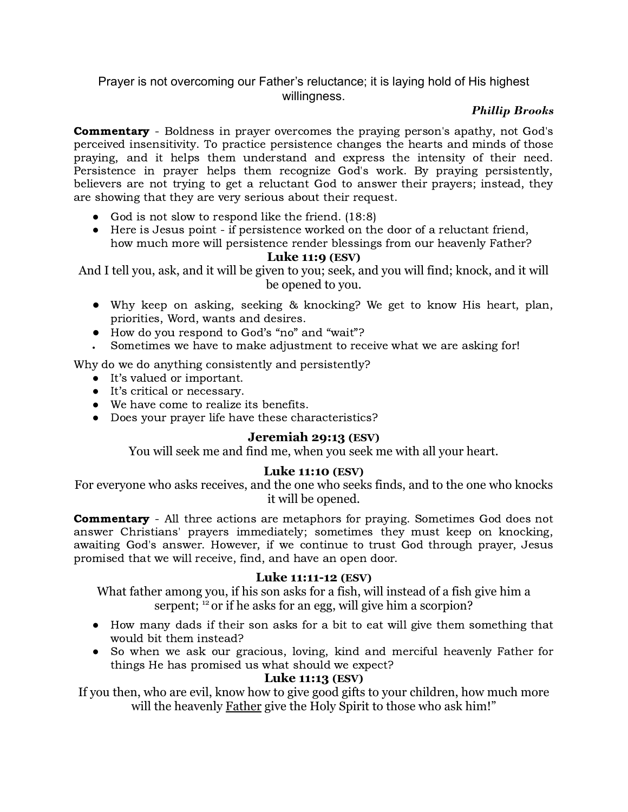# Prayer is not overcoming our Father's reluctance; it is laying hold of His highest willingness.

#### *Phillip Brooks*

**Commentary** - Boldness in prayer overcomes the praying person's apathy, not God's perceived insensitivity. To practice persistence changes the hearts and minds of those praying, and it helps them understand and express the intensity of their need. Persistence in prayer helps them recognize God's work. By praying persistently, believers are not trying to get a reluctant God to answer their prayers; instead, they are showing that they are very serious about their request.

- God is not slow to respond like the friend. (18:8)
- Here is Jesus point if persistence worked on the door of a reluctant friend, how much more will persistence render blessings from our heavenly Father?

#### **Luke 11:9 (ESV)**

And I tell you, ask, and it will be given to you; seek, and you will find; knock, and it will be opened to you.

- Why keep on asking, seeking & knocking? We get to know His heart, plan, priorities, Word, wants and desires.
- How do you respond to God's "no" and "wait"?
- Sometimes we have to make adjustment to receive what we are asking for!

Why do we do anything consistently and persistently?

- It's valued or important.
- It's critical or necessary.
- We have come to realize its benefits.
- Does your prayer life have these characteristics?

#### **Jeremiah 29:13 (ESV)**

You will seek me and find me, when you seek me with all your heart.

#### **Luke 11:10 (ESV)**

For everyone who asks receives, and the one who seeks finds, and to the one who knocks it will be opened.

**Commentary** - All three actions are metaphors for praying. Sometimes God does not answer Christians' prayers immediately; sometimes they must keep on knocking, awaiting God's answer. However, if we continue to trust God through prayer, Jesus promised that we will receive, find, and have an open door.

#### **Luke 11:11-12 (ESV)**

What father among you, if his son asks for a fish, will instead of a fish give him a serpent; <sup>12</sup> or if he asks for an egg, will give him a scorpion?

- How many dads if their son asks for a bit to eat will give them something that would bit them instead?
- So when we ask our gracious, loving, kind and merciful heavenly Father for things He has promised us what should we expect?

# **Luke 11:13 (ESV)**

If you then, who are evil, know how to give good gifts to your children, how much more will the heavenly Father give the Holy Spirit to those who ask him!"